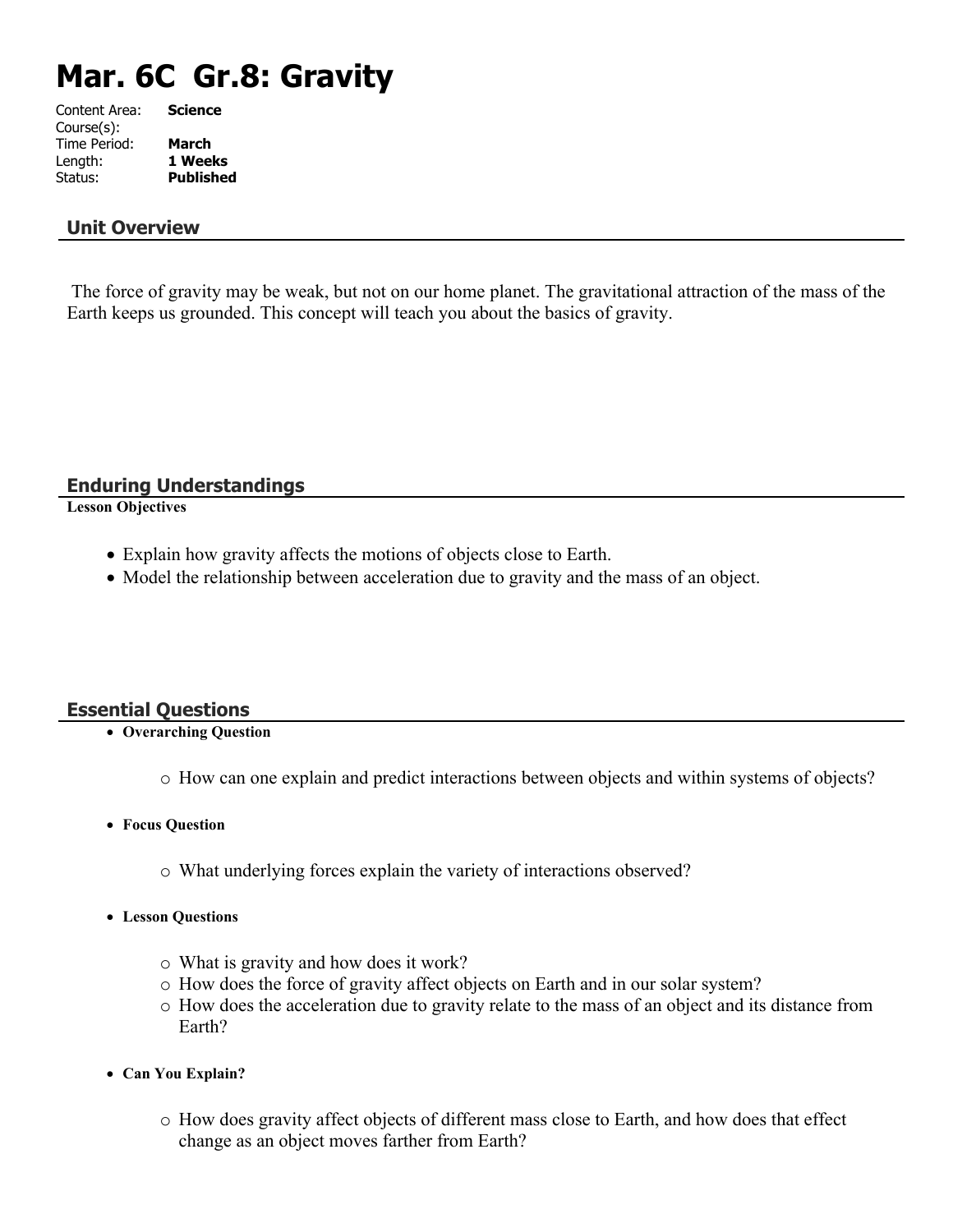# **Mar. 6C Gr.8: Gravity**

| Content Area: | <b>Science</b>   |
|---------------|------------------|
| Course(s):    |                  |
| Time Period:  | March            |
| Length:       | 1 Weeks          |
| Status:       | <b>Published</b> |
|               |                  |

#### **Unit Overview**

 The force of gravity may be weak, but not on our home planet. The gravitational attraction of the mass of the Earth keeps us grounded. This concept will teach you about the basics of gravity.

**Enduring Understandings**

**Lesson Objectives**

- Explain how gravity affects the motions of objects close to Earth.
- Model the relationship between acceleration due to gravity and the mass of an object.

# **Essential Questions**

- **Overarching Question**
	- o How can one explain and predict interactions between objects and within systems of objects?
- **Focus Question**
	- o What underlying forces explain the variety of interactions observed?
- **Lesson Questions**
	- o What is gravity and how does it work?
	- o How does the force of gravity affect objects on Earth and in our solar system?
	- o How does the acceleration due to gravity relate to the mass of an object and its distance from Earth?
- **Can You Explain?**
	- o How does gravity affect objects of different mass close to Earth, and how does that effect change as an object moves farther from Earth?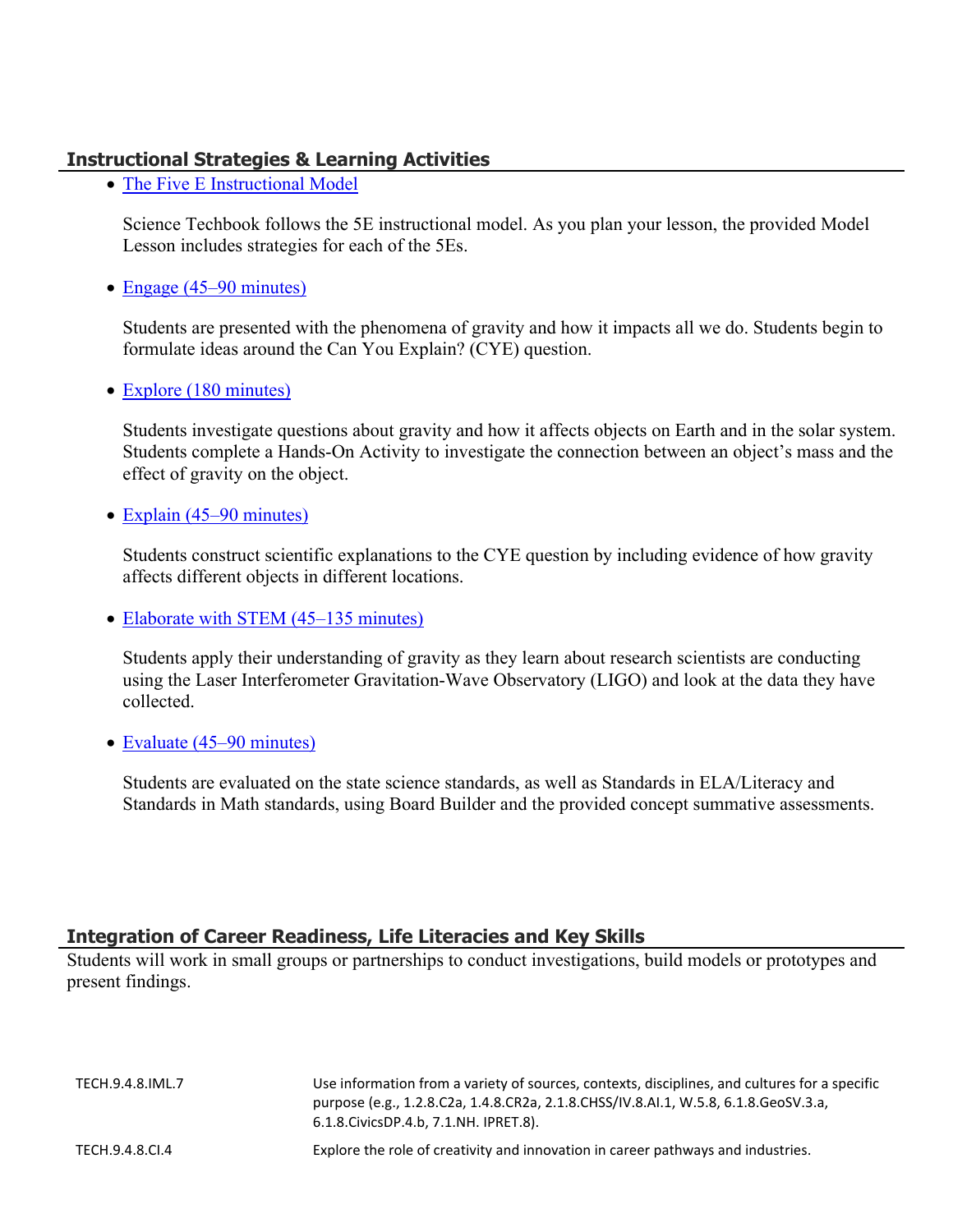# **Instructional Strategies & Learning Activities**

• [The Five E Instructional Model](https://app.discoveryeducation.com/learn/techbook/units/aca7980d-a6c7-475d-9d82-87d45a377a7e/concepts/01b7a567-df29-4af1-821a-fa6fb880c445/lesson/sections/6069251e-2487-42cd-840a-dcee01bafe94#f04fdb7c-d021-4053-a88a-cdbf504ef18f)

Science Techbook follows the 5E instructional model. As you plan your lesson, the provided Model Lesson includes strategies for each of the 5Es.

• [Engage \(45–90 minutes\)](https://app.discoveryeducation.com/learn/techbook/units/aca7980d-a6c7-475d-9d82-87d45a377a7e/concepts/01b7a567-df29-4af1-821a-fa6fb880c445/lesson/sections/6069251e-2487-42cd-840a-dcee01bafe94#b1887dd9-1a16-4a11-8ee0-1a308f4652a4)

Students are presented with the phenomena of gravity and how it impacts all we do. Students begin to formulate ideas around the Can You Explain? (CYE) question.

• [Explore \(180 minutes\)](https://app.discoveryeducation.com/learn/techbook/units/aca7980d-a6c7-475d-9d82-87d45a377a7e/concepts/01b7a567-df29-4af1-821a-fa6fb880c445/lesson/sections/6069251e-2487-42cd-840a-dcee01bafe94#533eadf5-1e06-4684-8ff0-da9205745396)

Students investigate questions about gravity and how it affects objects on Earth and in the solar system. Students complete a Hands-On Activity to investigate the connection between an object's mass and the effect of gravity on the object.

• [Explain \(45–90 minutes\)](https://app.discoveryeducation.com/learn/techbook/units/aca7980d-a6c7-475d-9d82-87d45a377a7e/concepts/01b7a567-df29-4af1-821a-fa6fb880c445/lesson/sections/6069251e-2487-42cd-840a-dcee01bafe94#8d5ee676-6fdd-41a8-939f-5b5e00170668)

Students construct scientific explanations to the CYE question by including evidence of how gravity affects different objects in different locations.

• [Elaborate with STEM \(45–135 minutes\)](https://app.discoveryeducation.com/learn/techbook/units/aca7980d-a6c7-475d-9d82-87d45a377a7e/concepts/01b7a567-df29-4af1-821a-fa6fb880c445/lesson/sections/6069251e-2487-42cd-840a-dcee01bafe94#1568248c-9c33-447d-8247-70d40cffa753)

Students apply their understanding of gravity as they learn about research scientists are conducting using the Laser Interferometer Gravitation-Wave Observatory (LIGO) and look at the data they have collected.

• [Evaluate \(45–90 minutes\)](https://app.discoveryeducation.com/learn/techbook/units/aca7980d-a6c7-475d-9d82-87d45a377a7e/concepts/01b7a567-df29-4af1-821a-fa6fb880c445/lesson/sections/6069251e-2487-42cd-840a-dcee01bafe94#ba8fc146-3de8-482d-8004-9f7a3e0329f6)

Students are evaluated on the state science standards, as well as Standards in ELA/Literacy and Standards in Math standards, using Board Builder and the provided concept summative assessments.

# **Integration of Career Readiness, Life Literacies and Key Skills**

Students will work in small groups or partnerships to conduct investigations, build models or prototypes and present findings.

| TECH.9.4.8.IML.7 | Use information from a variety of sources, contexts, disciplines, and cultures for a specific<br>purpose (e.g., 1.2.8.C2a, 1.4.8.CR2a, 2.1.8.CHSS/IV.8.AI.1, W.5.8, 6.1.8.GeoSV.3.a,<br>6.1.8. Civics DP. 4.b, 7.1. NH. IPRET. 8). |
|------------------|------------------------------------------------------------------------------------------------------------------------------------------------------------------------------------------------------------------------------------|
| TECH.9.4.8.Cl.4  | Explore the role of creativity and innovation in career pathways and industries.                                                                                                                                                   |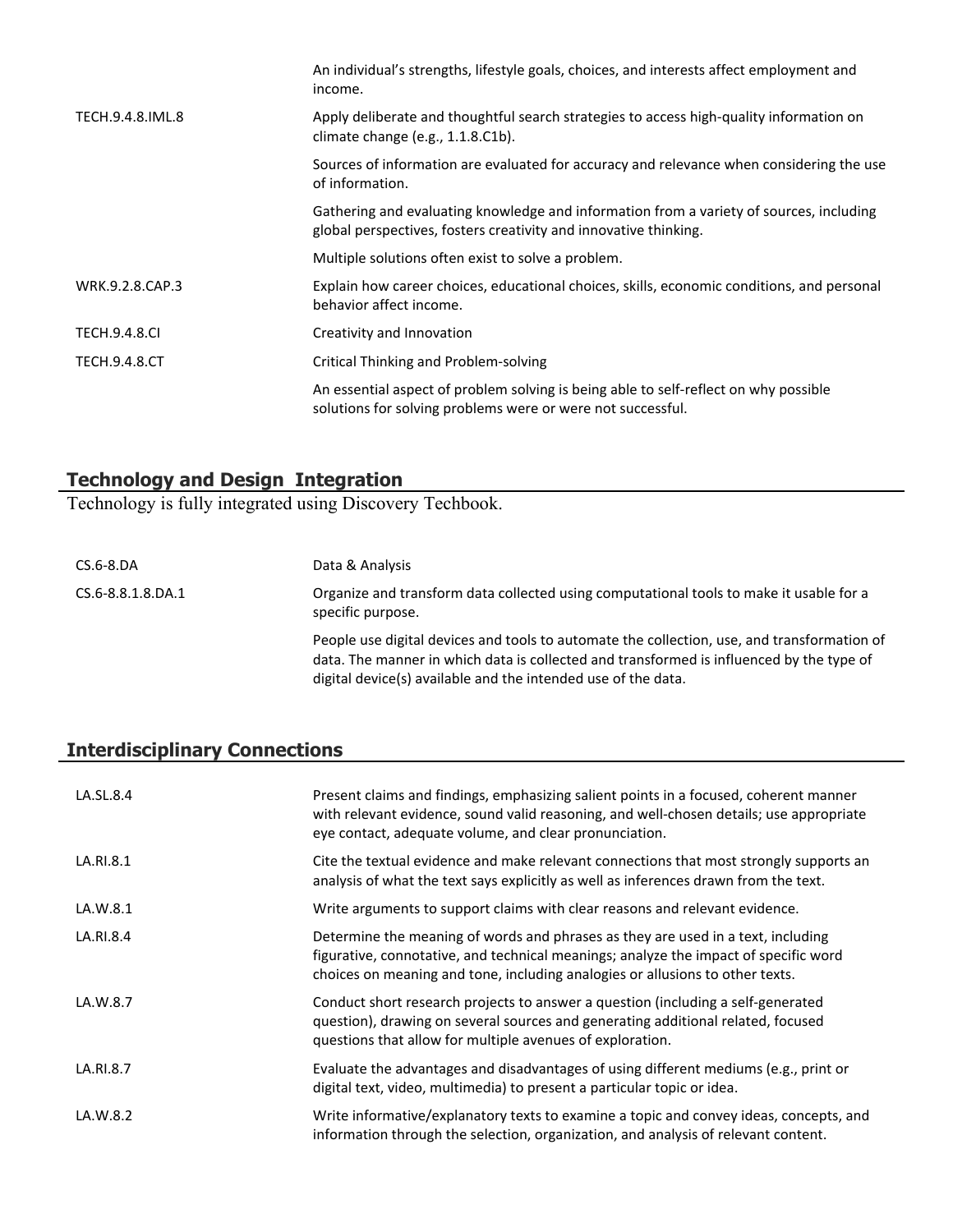| An individual's strengths, lifestyle goals, choices, and interests affect employment and<br>income.                                                         |
|-------------------------------------------------------------------------------------------------------------------------------------------------------------|
| Apply deliberate and thoughtful search strategies to access high-quality information on<br>climate change (e.g., 1.1.8.C1b).                                |
| Sources of information are evaluated for accuracy and relevance when considering the use<br>of information.                                                 |
| Gathering and evaluating knowledge and information from a variety of sources, including<br>global perspectives, fosters creativity and innovative thinking. |
| Multiple solutions often exist to solve a problem.                                                                                                          |
| Explain how career choices, educational choices, skills, economic conditions, and personal<br>behavior affect income.                                       |
| Creativity and Innovation                                                                                                                                   |
| Critical Thinking and Problem-solving                                                                                                                       |
| An essential aspect of problem solving is being able to self-reflect on why possible<br>solutions for solving problems were or were not successful.         |
|                                                                                                                                                             |

# **Technology and Design Integration**

Technology is fully integrated using Discovery Techbook.

| $CS.6-8.DA$       | Data & Analysis                                                                                                                                                                                                                                          |
|-------------------|----------------------------------------------------------------------------------------------------------------------------------------------------------------------------------------------------------------------------------------------------------|
| CS.6-8.8.1.8.DA.1 | Organize and transform data collected using computational tools to make it usable for a<br>specific purpose.                                                                                                                                             |
|                   | People use digital devices and tools to automate the collection, use, and transformation of<br>data. The manner in which data is collected and transformed is influenced by the type of<br>digital device(s) available and the intended use of the data. |

# **Interdisciplinary Connections**

| LA.SL.8.4 | Present claims and findings, emphasizing salient points in a focused, coherent manner<br>with relevant evidence, sound valid reasoning, and well-chosen details; use appropriate<br>eye contact, adequate volume, and clear pronunciation.                |
|-----------|-----------------------------------------------------------------------------------------------------------------------------------------------------------------------------------------------------------------------------------------------------------|
| LA.RI.8.1 | Cite the textual evidence and make relevant connections that most strongly supports an<br>analysis of what the text says explicitly as well as inferences drawn from the text.                                                                            |
| LA.W.8.1  | Write arguments to support claims with clear reasons and relevant evidence.                                                                                                                                                                               |
| LA.RI.8.4 | Determine the meaning of words and phrases as they are used in a text, including<br>figurative, connotative, and technical meanings; analyze the impact of specific word<br>choices on meaning and tone, including analogies or allusions to other texts. |
| LA.W.8.7  | Conduct short research projects to answer a question (including a self-generated<br>question), drawing on several sources and generating additional related, focused<br>questions that allow for multiple avenues of exploration.                         |
| LA.RI.8.7 | Evaluate the advantages and disadvantages of using different mediums (e.g., print or<br>digital text, video, multimedia) to present a particular topic or idea.                                                                                           |
| LA.W.8.2  | Write informative/explanatory texts to examine a topic and convey ideas, concepts, and<br>information through the selection, organization, and analysis of relevant content.                                                                              |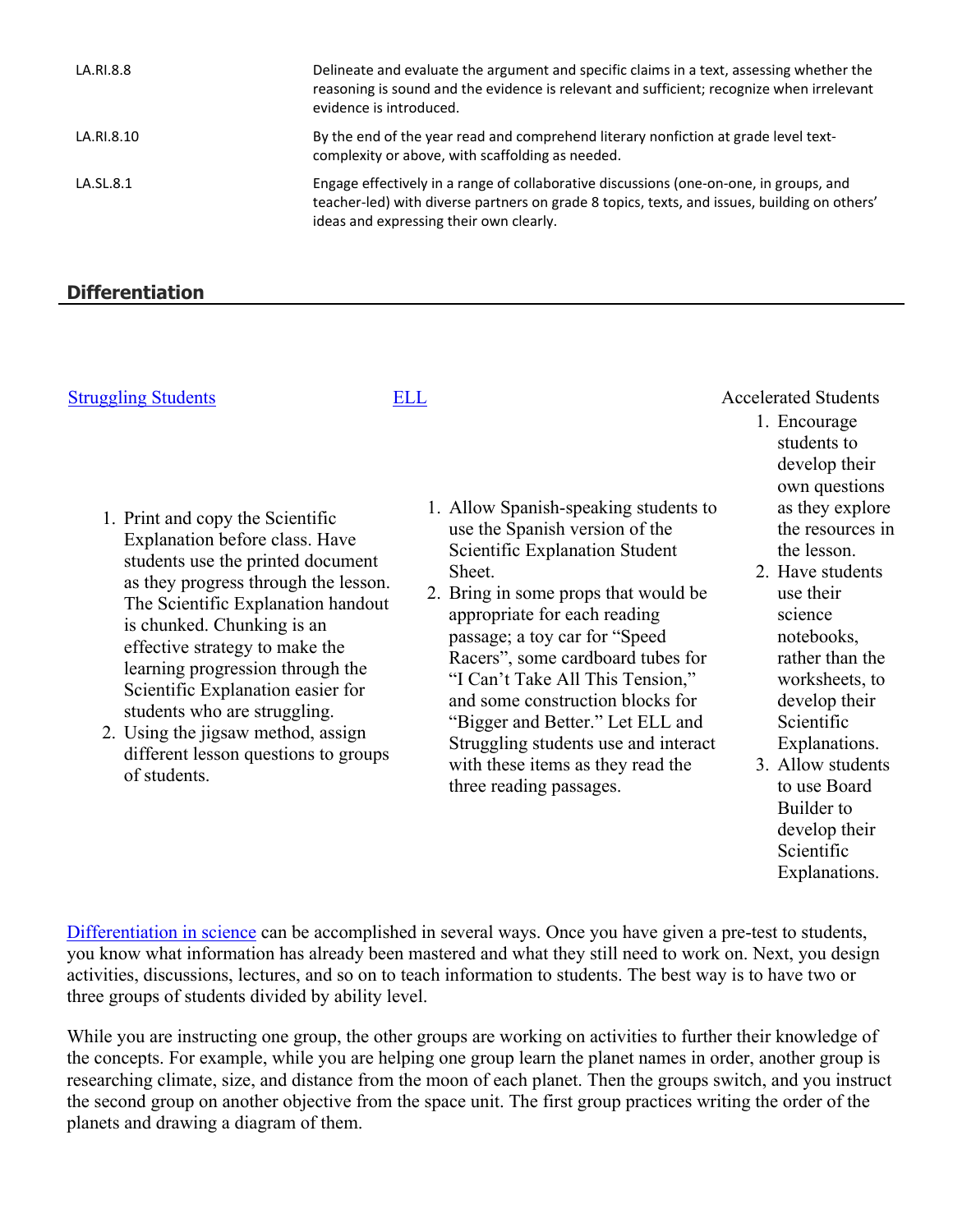| LA.RI.8.8  | Delineate and evaluate the argument and specific claims in a text, assessing whether the<br>reasoning is sound and the evidence is relevant and sufficient; recognize when irrelevant<br>evidence is introduced.                  |
|------------|-----------------------------------------------------------------------------------------------------------------------------------------------------------------------------------------------------------------------------------|
| LA.RI.8.10 | By the end of the year read and comprehend literary nonfiction at grade level text-<br>complexity or above, with scaffolding as needed.                                                                                           |
| LA.SL.8.1  | Engage effectively in a range of collaborative discussions (one-on-one, in groups, and<br>teacher-led) with diverse partners on grade 8 topics, texts, and issues, building on others'<br>ideas and expressing their own clearly. |

# **Differentiation**

# [Struggling Students](https://app.discoveryeducation.com/player/view/assetGuid/4995767F-D634-40C6-B25B-BDEA06E14F90) [ELL](https://app.discoveryeducation.com/player/view/assetGuid/D727DF69-B79B-4A92-AA1F-CE23C74D98D9) ELL Accelerated Students

- 1. Print and copy the Scientific Explanation before class. Have students use the printed document as they progress through the lesson. The Scientific Explanation handout is chunked. Chunking is an effective strategy to make the learning progression through the Scientific Explanation easier for students who are struggling.
- 2. Using the jigsaw method, assign different lesson questions to groups of students.

- 1. Allow Spanish-speaking students to use the Spanish version of the Scientific Explanation Student Sheet.
- 2. Bring in some props that would be appropriate for each reading passage; a toy car for "Speed Racers", some cardboard tubes for "I Can't Take All This Tension," and some construction blocks for "Bigger and Better." Let ELL and Struggling students use and interact with these items as they read the three reading passages.
- 1. Encourage students to develop their own questions as they explore the resources in the lesson.
- 2. Have students use their science notebooks, rather than the worksheets, to develop their Scientific Explanations.
- 3. Allow students to use Board Builder to develop their Scientific Explanations.

[Differentiation in science](http://www.brighthubeducation.com/teaching-gifted-students/65181-differentiation-techniques-and-activities-in-the-classroom-for-gifted-students/) can be accomplished in several ways. Once you have given a pre-test to students, you know what information has already been mastered and what they still need to work on. Next, you design activities, discussions, lectures, and so on to teach information to students. The best way is to have two or three groups of students divided by ability level.

While you are instructing one group, the other groups are working on activities to further their knowledge of the concepts. For example, while you are helping one group learn the planet names in order, another group is researching climate, size, and distance from the moon of each planet. Then the groups switch, and you instruct the second group on another objective from the space unit. The first group practices writing the order of the planets and drawing a diagram of them.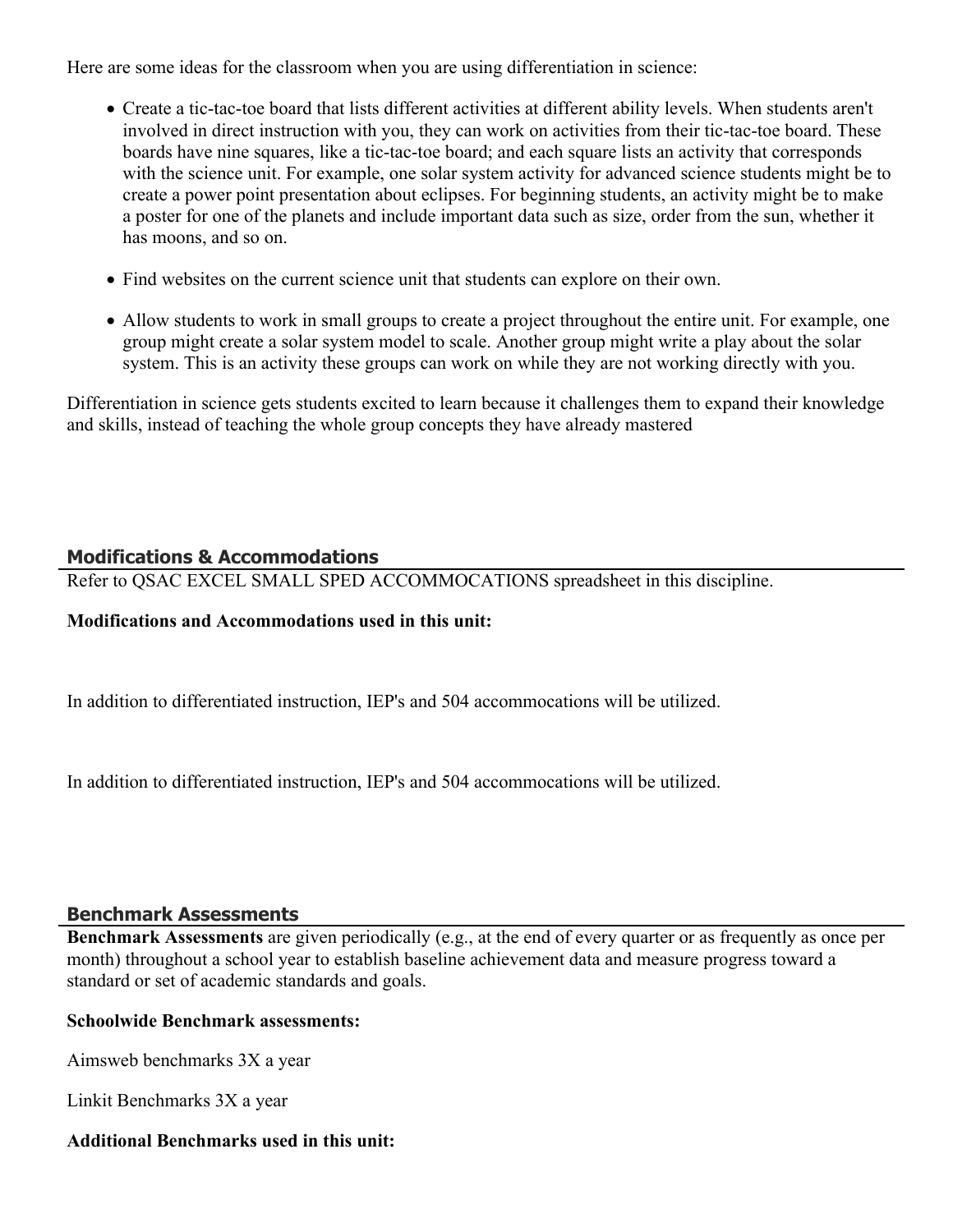Here are some ideas for the classroom when you are using differentiation in science:

- Create a tic-tac-toe board that lists different activities at different ability levels. When students aren't involved in direct instruction with you, they can work on activities from their tic-tac-toe board. These boards have nine squares, like a tic-tac-toe board; and each square lists an activity that corresponds with the science unit. For example, one solar system activity for advanced science students might be to create a power point presentation about eclipses. For beginning students, an activity might be to make a poster for one of the planets and include important data such as size, order from the sun, whether it has moons, and so on.
- Find websites on the current science unit that students can explore on their own.
- Allow students to work in small groups to create a project throughout the entire unit. For example, one group might create a solar system model to scale. Another group might write a play about the solar system. This is an activity these groups can work on while they are not working directly with you.

Differentiation in science gets students excited to learn because it challenges them to expand their knowledge and skills, instead of teaching the whole group concepts they have already mastered

# **Modifications & Accommodations**

Refer to QSAC EXCEL SMALL SPED ACCOMMOCATIONS spreadsheet in this discipline.

# **Modifications and Accommodations used in this unit:**

In addition to differentiated instruction, IEP's and 504 accommocations will be utilized.

In addition to differentiated instruction, IEP's and 504 accommocations will be utilized.

# **Benchmark Assessments**

**Benchmark Assessments** are given periodically (e.g., at the end of every quarter or as frequently as once per month) throughout a school year to establish baseline achievement data and measure progress toward a standard or set of academic standards and goals.

# **Schoolwide Benchmark assessments:**

Aimsweb benchmarks 3X a year

Linkit Benchmarks 3X a year

# **Additional Benchmarks used in this unit:**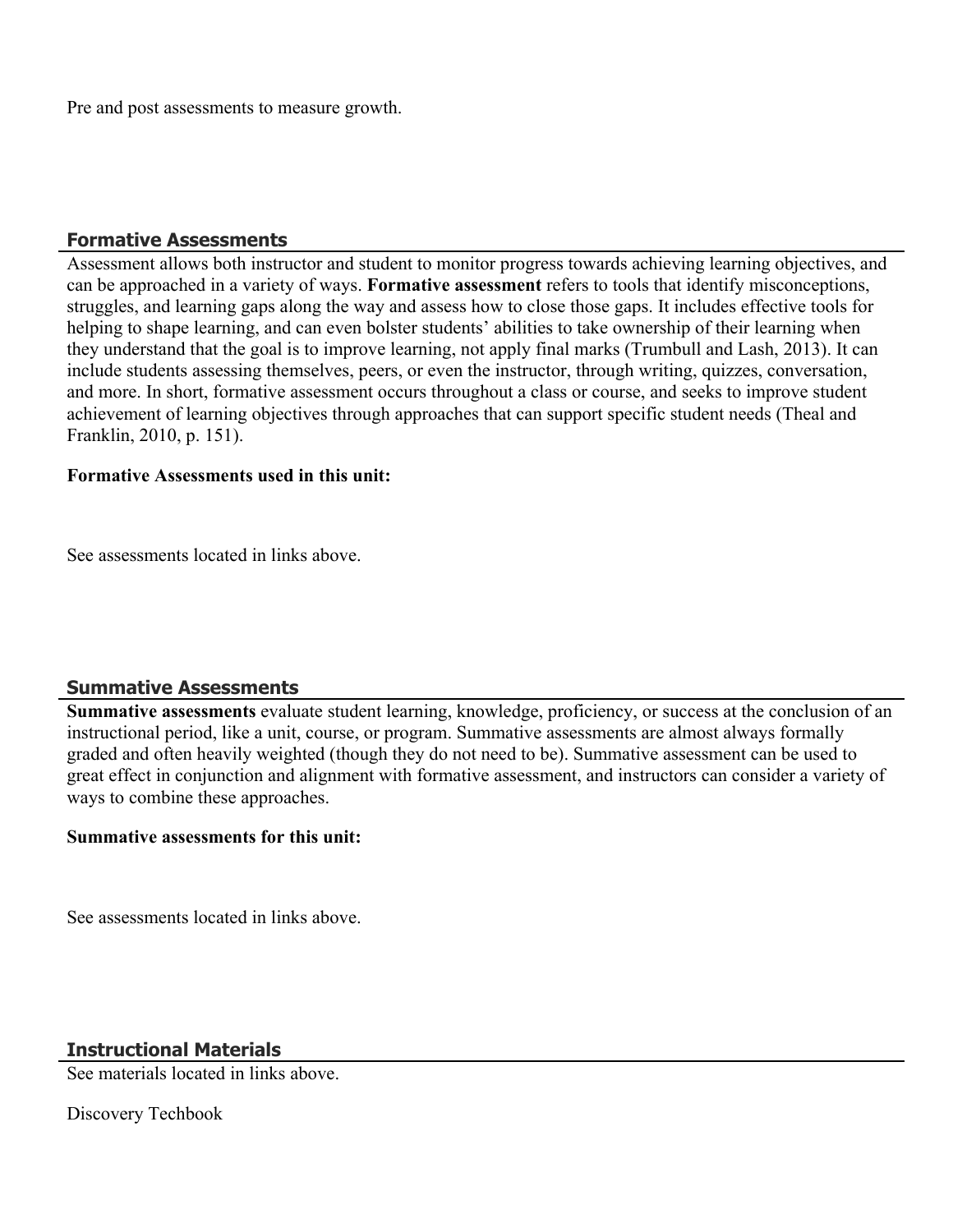Pre and post assessments to measure growth.

#### **Formative Assessments**

Assessment allows both instructor and student to monitor progress towards achieving learning objectives, and can be approached in a variety of ways. **Formative assessment** refers to tools that identify misconceptions, struggles, and learning gaps along the way and assess how to close those gaps. It includes effective tools for helping to shape learning, and can even bolster students' abilities to take ownership of their learning when they understand that the goal is to improve learning, not apply final marks (Trumbull and Lash, 2013). It can include students assessing themselves, peers, or even the instructor, through writing, quizzes, conversation, and more. In short, formative assessment occurs throughout a class or course, and seeks to improve student achievement of learning objectives through approaches that can support specific student needs (Theal and Franklin, 2010, p. 151).

#### **Formative Assessments used in this unit:**

See assessments located in links above.

# **Summative Assessments**

**Summative assessments** evaluate student learning, knowledge, proficiency, or success at the conclusion of an instructional period, like a unit, course, or program. Summative assessments are almost always formally graded and often heavily weighted (though they do not need to be). Summative assessment can be used to great effect in conjunction and alignment with formative assessment, and instructors can consider a variety of ways to combine these approaches.

#### **Summative assessments for this unit:**

See assessments located in links above.

# **Instructional Materials**

See materials located in links above.

Discovery Techbook